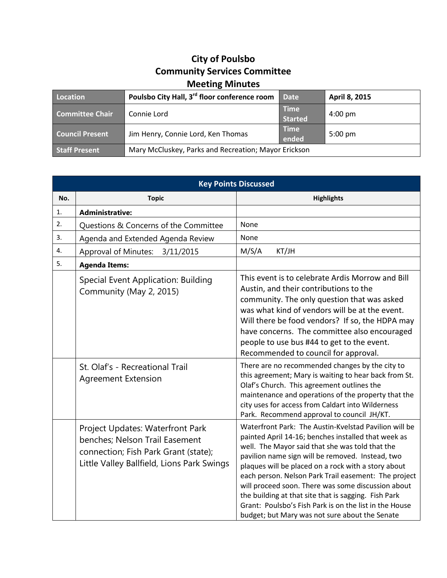## **City of Poulsbo Community Services Committee Meeting Minutes**

| Location               | Poulsbo City Hall, 3 <sup>rd</sup> floor conference room | <b>Date</b>                   | April 8, 2015     |
|------------------------|----------------------------------------------------------|-------------------------------|-------------------|
| Committee Chair        | Connie Lord                                              | <b>Time</b><br><b>Started</b> | $4:00 \text{ pm}$ |
| <b>Council Present</b> | Jim Henry, Connie Lord, Ken Thomas                       | <b>Time</b><br>ended          | $5:00 \text{ pm}$ |
| <b>Staff Present</b>   | Mary McCluskey, Parks and Recreation; Mayor Erickson     |                               |                   |

| <b>Key Points Discussed</b> |                                                                                                                                                          |                                                                                                                                                                                                                                                                                                                                                                                                                                                                                                                                                              |  |  |
|-----------------------------|----------------------------------------------------------------------------------------------------------------------------------------------------------|--------------------------------------------------------------------------------------------------------------------------------------------------------------------------------------------------------------------------------------------------------------------------------------------------------------------------------------------------------------------------------------------------------------------------------------------------------------------------------------------------------------------------------------------------------------|--|--|
| No.                         | <b>Topic</b>                                                                                                                                             | <b>Highlights</b>                                                                                                                                                                                                                                                                                                                                                                                                                                                                                                                                            |  |  |
| 1.                          | <b>Administrative:</b>                                                                                                                                   |                                                                                                                                                                                                                                                                                                                                                                                                                                                                                                                                                              |  |  |
| 2.                          | Questions & Concerns of the Committee                                                                                                                    | None                                                                                                                                                                                                                                                                                                                                                                                                                                                                                                                                                         |  |  |
| 3.                          | Agenda and Extended Agenda Review                                                                                                                        | None                                                                                                                                                                                                                                                                                                                                                                                                                                                                                                                                                         |  |  |
| 4.                          | <b>Approval of Minutes:</b><br>3/11/2015                                                                                                                 | M/S/A<br>KT/JH                                                                                                                                                                                                                                                                                                                                                                                                                                                                                                                                               |  |  |
| 5.                          | <b>Agenda Items:</b>                                                                                                                                     |                                                                                                                                                                                                                                                                                                                                                                                                                                                                                                                                                              |  |  |
|                             | Special Event Application: Building<br>Community (May 2, 2015)                                                                                           | This event is to celebrate Ardis Morrow and Bill<br>Austin, and their contributions to the<br>community. The only question that was asked<br>was what kind of vendors will be at the event.<br>Will there be food vendors? If so, the HDPA may<br>have concerns. The committee also encouraged<br>people to use bus #44 to get to the event.<br>Recommended to council for approval.                                                                                                                                                                         |  |  |
|                             | St. Olaf's - Recreational Trail<br><b>Agreement Extension</b>                                                                                            | There are no recommended changes by the city to<br>this agreement; Mary is waiting to hear back from St.<br>Olaf's Church. This agreement outlines the<br>maintenance and operations of the property that the<br>city uses for access from Caldart into Wilderness<br>Park. Recommend approval to council JH/KT.                                                                                                                                                                                                                                             |  |  |
|                             | Project Updates: Waterfront Park<br>benches; Nelson Trail Easement<br>connection; Fish Park Grant (state);<br>Little Valley Ballfield, Lions Park Swings | Waterfront Park: The Austin-Kyelstad Pavilion will be<br>painted April 14-16; benches installed that week as<br>well. The Mayor said that she was told that the<br>pavilion name sign will be removed. Instead, two<br>plaques will be placed on a rock with a story about<br>each person. Nelson Park Trail easement: The project<br>will proceed soon. There was some discussion about<br>the building at that site that is sagging. Fish Park<br>Grant: Poulsbo's Fish Park is on the list in the House<br>budget; but Mary was not sure about the Senate |  |  |